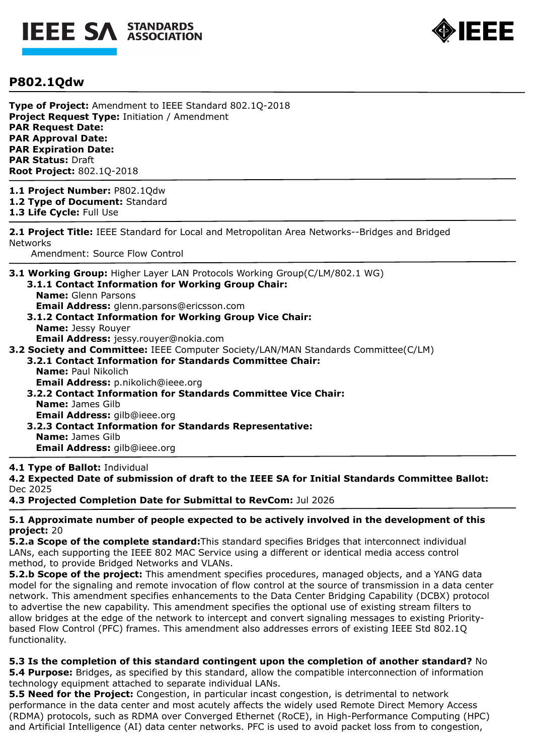



# **P802.1Qdw**

**Type of Project:** Amendment to IEEE Standard 802.1Q-2018 **Project Request Type:** Initiation / Amendment **PAR Request Date: PAR Approval Date: PAR Expiration Date: PAR Status:** Draft **Root Project:** 802.1Q-2018

**1.1 Project Number:** P802.1Qdw **1.2 Type of Document:** Standard **1.3 Life Cycle:** Full Use

**2.1 Project Title:** IEEE Standard for Local and Metropolitan Area Networks--Bridges and Bridged **Networks** 

Amendment: Source Flow Control

**3.1 Working Group:** Higher Layer LAN Protocols Working Group(C/LM/802.1 WG)

**3.1.1 Contact Information for Working Group Chair: Name:** Glenn Parsons

**Email Address:** glenn.parsons@ericsson.com

- **3.1.2 Contact Information for Working Group Vice Chair: Name:** Jessy Rouyer **Email Address:** jessy.rouyer@nokia.com
- **3.2 Society and Committee:** IEEE Computer Society/LAN/MAN Standards Committee(C/LM)
	- **3.2.1 Contact Information for Standards Committee Chair: Name:** Paul Nikolich **Email Address:** p.nikolich@ieee.org
		- **3.2.2 Contact Information for Standards Committee Vice Chair: Name:** James Gilb **Email Address:** gilb@ieee.org
		- **3.2.3 Contact Information for Standards Representative: Name:** James Gilb **Email Address:** gilb@ieee.org

### **4.1 Type of Ballot:** Individual

**4.2 Expected Date of submission of draft to the IEEE SA for Initial Standards Committee Ballot:**  Dec 2025

**4.3 Projected Completion Date for Submittal to RevCom:** Jul 2026

**5.1 Approximate number of people expected to be actively involved in the development of this project:** 20

**5.2.a Scope of the complete standard:**This standard specifies Bridges that interconnect individual LANs, each supporting the IEEE 802 MAC Service using a different or identical media access control method, to provide Bridged Networks and VLANs.

**5.2.b Scope of the project:** This amendment specifies procedures, managed objects, and a YANG data model for the signaling and remote invocation of flow control at the source of transmission in a data center network. This amendment specifies enhancements to the Data Center Bridging Capability (DCBX) protocol to advertise the new capability. This amendment specifies the optional use of existing stream filters to allow bridges at the edge of the network to intercept and convert signaling messages to existing Prioritybased Flow Control (PFC) frames. This amendment also addresses errors of existing IEEE Std 802.1Q functionality.

**5.3 Is the completion of this standard contingent upon the completion of another standard?** No **5.4 Purpose:** Bridges, as specified by this standard, allow the compatible interconnection of information technology equipment attached to separate individual LANs.

**5.5 Need for the Project:** Congestion, in particular incast congestion, is detrimental to network performance in the data center and most acutely affects the widely used Remote Direct Memory Access (RDMA) protocols, such as RDMA over Converged Ethernet (RoCE), in High-Performance Computing (HPC) and Artificial Intelligence (AI) data center networks. PFC is used to avoid packet loss from to congestion,